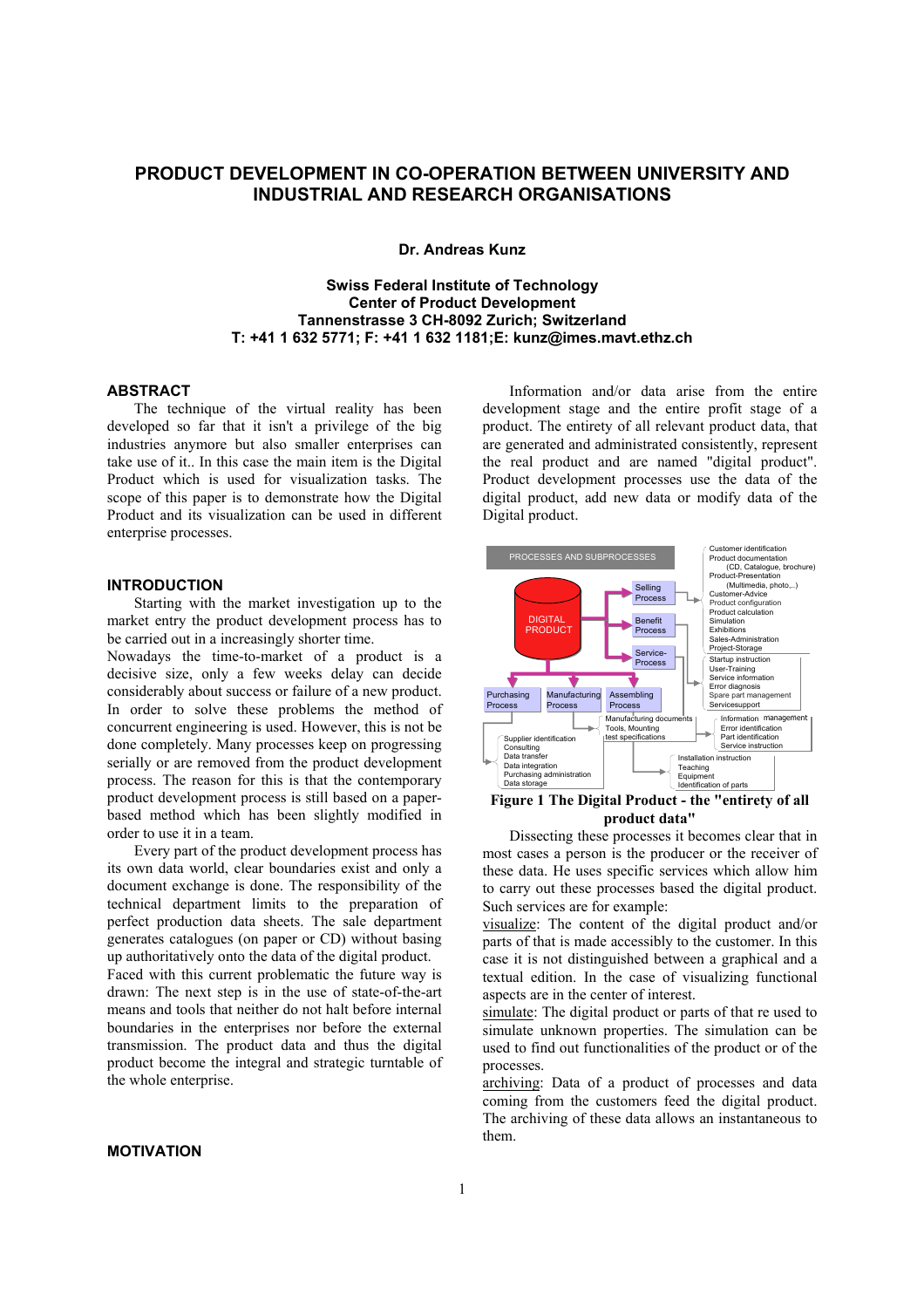# **PRODUCT DEVELOPMENT IN CO-OPERATION BETWEEN UNIVERSITY AND INDUSTRIAL AND RESEARCH ORGANISATIONS**

**Dr. Andreas Kunz** 

## **Swiss Federal Institute of Technology Center of Product Development Tannenstrasse 3 CH-8092 Zurich; Switzerland T: +41 1 632 5771; F: +41 1 632 1181;E: kunz@imes.mavt.ethz.ch**

#### **ABSTRACT**

The technique of the virtual reality has been developed so far that it isn't a privilege of the big industries anymore but also smaller enterprises can take use of it.. In this case the main item is the Digital Product which is used for visualization tasks. The scope of this paper is to demonstrate how the Digital Product and its visualization can be used in different enterprise processes.

## **INTRODUCTION**

Starting with the market investigation up to the market entry the product development process has to be carried out in a increasingly shorter time.

Nowadays the time-to-market of a product is a decisive size, only a few weeks delay can decide considerably about success or failure of a new product. In order to solve these problems the method of concurrent engineering is used. However, this is not be done completely. Many processes keep on progressing serially or are removed from the product development process. The reason for this is that the contemporary product development process is still based on a paperbased method which has been slightly modified in order to use it in a team.

Every part of the product development process has its own data world, clear boundaries exist and only a document exchange is done. The responsibility of the technical department limits to the preparation of perfect production data sheets. The sale department generates catalogues (on paper or CD) without basing up authoritatively onto the data of the digital product.

Faced with this current problematic the future way is drawn: The next step is in the use of state-of-the-art means and tools that neither do not halt before internal boundaries in the enterprises nor before the external transmission. The product data and thus the digital product become the integral and strategic turntable of the whole enterprise.

### **MOTIVATION**

Information and/or data arise from the entire development stage and the entire profit stage of a product. The entirety of all relevant product data, that are generated and administrated consistently, represent the real product and are named "digital product". Product development processes use the data of the digital product, add new data or modify data of the Digital product.



### **Figure 1 The Digital Product - the "entirety of all product data"**

Dissecting these processes it becomes clear that in most cases a person is the producer or the receiver of these data. He uses specific services which allow him to carry out these processes based the digital product. Such services are for example:

visualize: The content of the digital product and/or parts of that is made accessibly to the customer. In this case it is not distinguished between a graphical and a textual edition. In the case of visualizing functional aspects are in the center of interest.

simulate: The digital product or parts of that re used to simulate unknown properties. The simulation can be used to find out functionalities of the product or of the processes.

archiving: Data of a product of processes and data coming from the customers feed the digital product. The archiving of these data allows an instantaneous to them.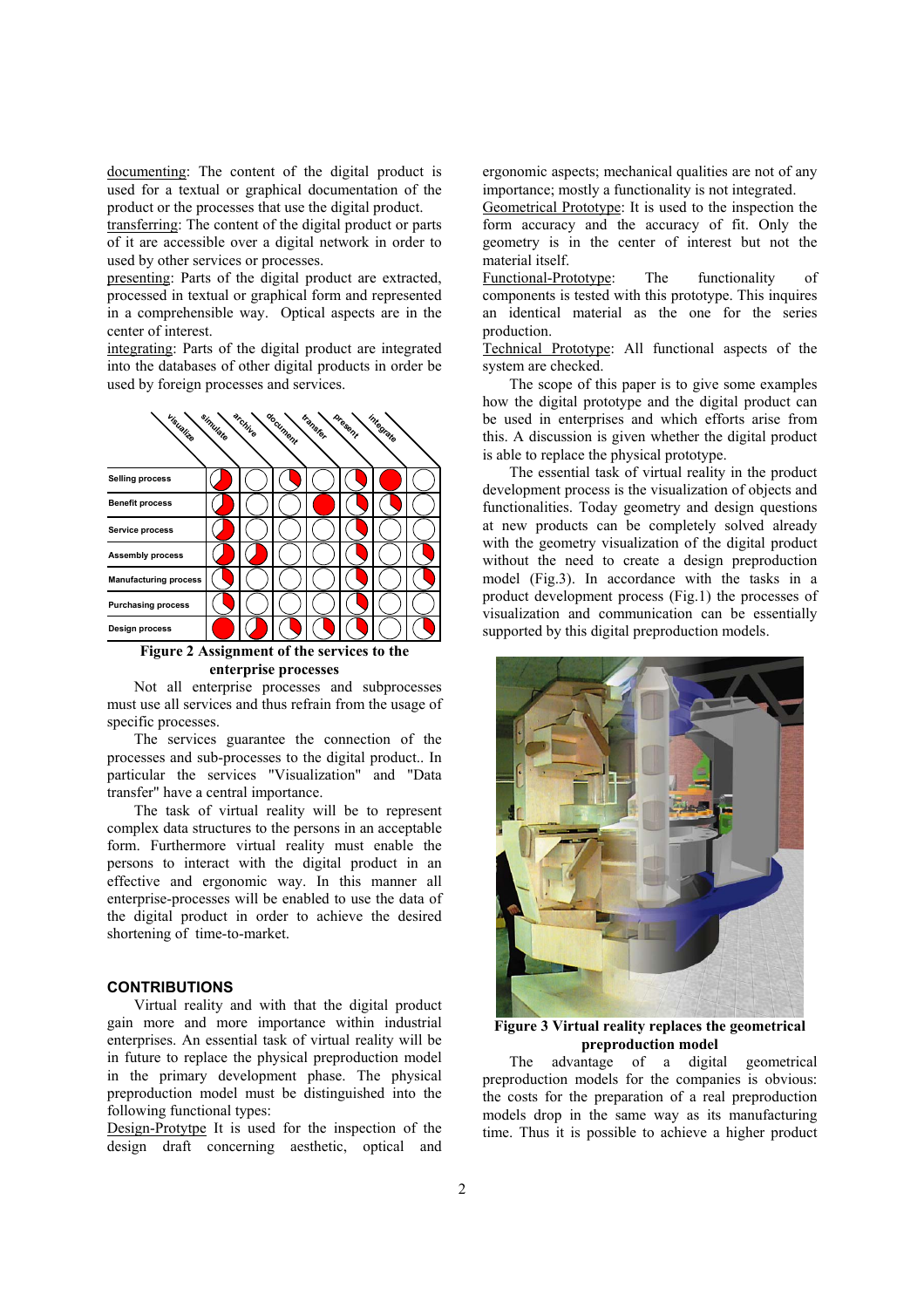documenting: The content of the digital product is used for a textual or graphical documentation of the product or the processes that use the digital product.

transferring: The content of the digital product or parts of it are accessible over a digital network in order to used by other services or processes.

presenting: Parts of the digital product are extracted, processed in textual or graphical form and represented in a comprehensible way. Optical aspects are in the center of interest.

integrating: Parts of the digital product are integrated into the databases of other digital products in order be used by foreign processes and services.



**Figure 2 Assignment of the services to the enterprise processes** 

Not all enterprise processes and subprocesses must use all services and thus refrain from the usage of specific processes.

The services guarantee the connection of the processes and sub-processes to the digital product.. In particular the services "Visualization" and "Data transfer" have a central importance.

The task of virtual reality will be to represent complex data structures to the persons in an acceptable form. Furthermore virtual reality must enable the persons to interact with the digital product in an effective and ergonomic way. In this manner all enterprise-processes will be enabled to use the data of the digital product in order to achieve the desired shortening of time-to-market.

### **CONTRIBUTIONS**

Virtual reality and with that the digital product gain more and more importance within industrial enterprises. An essential task of virtual reality will be in future to replace the physical preproduction model in the primary development phase. The physical preproduction model must be distinguished into the following functional types:

Design-Protytpe It is used for the inspection of the design draft concerning aesthetic, optical and ergonomic aspects; mechanical qualities are not of any importance; mostly a functionality is not integrated.

Geometrical Prototype: It is used to the inspection the form accuracy and the accuracy of fit. Only the geometry is in the center of interest but not the material itself.

Functional-Prototype: The functionality of components is tested with this prototype. This inquires an identical material as the one for the series production.

Technical Prototype: All functional aspects of the system are checked.

The scope of this paper is to give some examples how the digital prototype and the digital product can be used in enterprises and which efforts arise from this. A discussion is given whether the digital product is able to replace the physical prototype.

The essential task of virtual reality in the product development process is the visualization of objects and functionalities. Today geometry and design questions at new products can be completely solved already with the geometry visualization of the digital product without the need to create a design preproduction model (Fig.3). In accordance with the tasks in a product development process (Fig.1) the processes of visualization and communication can be essentially supported by this digital preproduction models.



**Figure 3 Virtual reality replaces the geometrical preproduction model** 

The advantage of a digital geometrical preproduction models for the companies is obvious: the costs for the preparation of a real preproduction models drop in the same way as its manufacturing time. Thus it is possible to achieve a higher product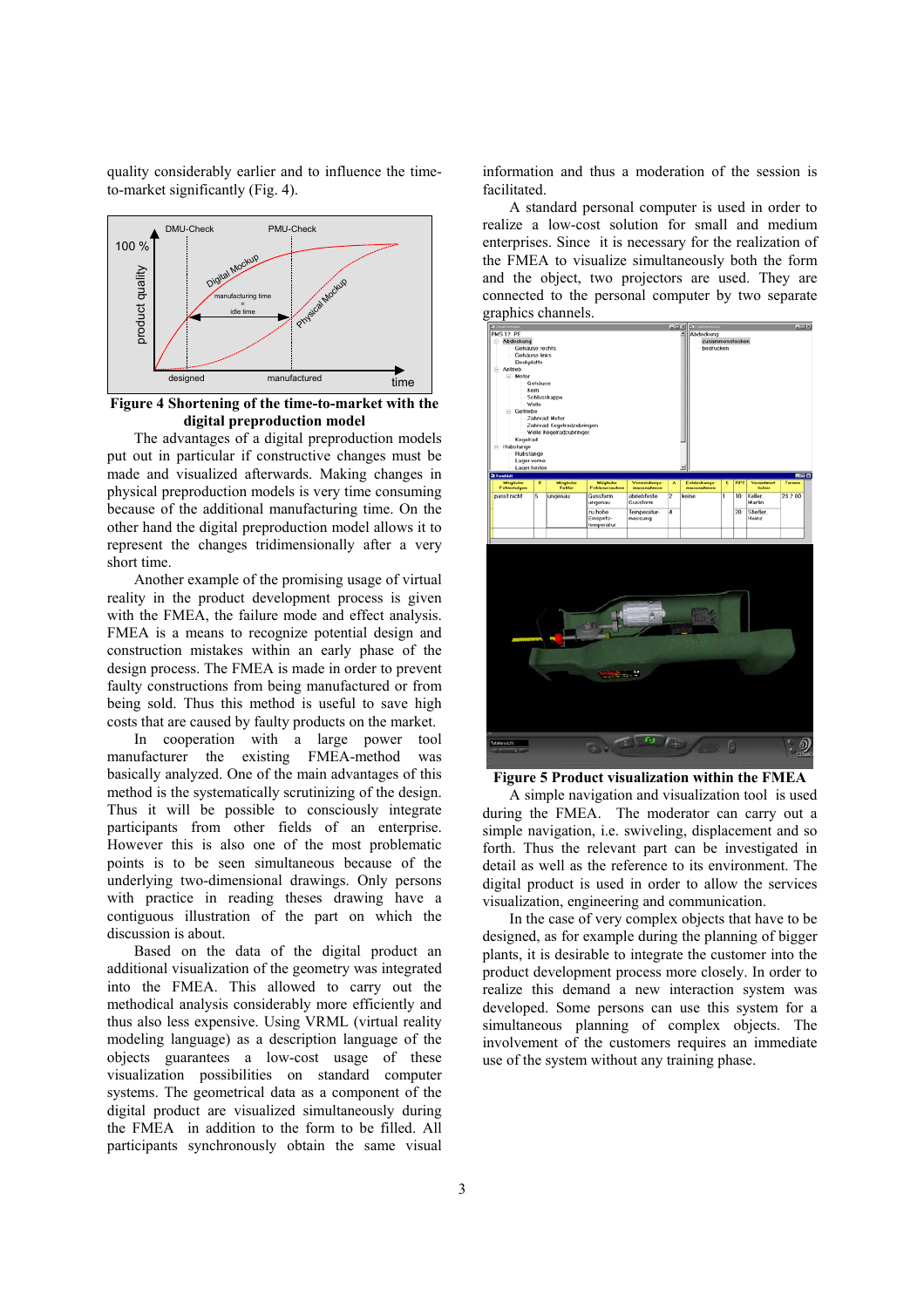quality considerably earlier and to influence the timeto-market significantly (Fig. 4).



**Figure 4 Shortening of the time-to-market with the digital preproduction model** 

The advantages of a digital preproduction models put out in particular if constructive changes must be made and visualized afterwards. Making changes in physical preproduction models is very time consuming because of the additional manufacturing time. On the other hand the digital preproduction model allows it to represent the changes tridimensionally after a very short time.

Another example of the promising usage of virtual reality in the product development process is given with the FMEA, the failure mode and effect analysis. FMEA is a means to recognize potential design and construction mistakes within an early phase of the design process. The FMEA is made in order to prevent faulty constructions from being manufactured or from being sold. Thus this method is useful to save high costs that are caused by faulty products on the market.

In cooperation with a large power tool manufacturer the existing FMEA-method was basically analyzed. One of the main advantages of this method is the systematically scrutinizing of the design. Thus it will be possible to consciously integrate participants from other fields of an enterprise. However this is also one of the most problematic points is to be seen simultaneous because of the underlying two-dimensional drawings. Only persons with practice in reading theses drawing have a contiguous illustration of the part on which the discussion is about.

Based on the data of the digital product an additional visualization of the geometry was integrated into the FMEA. This allowed to carry out the methodical analysis considerably more efficiently and thus also less expensive. Using VRML (virtual reality modeling language) as a description language of the objects guarantees a low-cost usage of these visualization possibilities on standard computer systems. The geometrical data as a component of the digital product are visualized simultaneously during the FMEA in addition to the form to be filled. All participants synchronously obtain the same visual information and thus a moderation of the session is facilitated.

A standard personal computer is used in order to realize a low-cost solution for small and medium enterprises. Since it is necessary for the realization of the FMEA to visualize simultaneously both the form and the object, two projectors are used. They are connected to the personal computer by two separate graphics channels.



**Figure 5 Product visualization within the FMEA** 

A simple navigation and visualization tool is used during the FMEA. The moderator can carry out a simple navigation, i.e. swiveling, displacement and so forth. Thus the relevant part can be investigated in detail as well as the reference to its environment. The digital product is used in order to allow the services visualization, engineering and communication.

In the case of very complex objects that have to be designed, as for example during the planning of bigger plants, it is desirable to integrate the customer into the product development process more closely. In order to realize this demand a new interaction system was developed. Some persons can use this system for a simultaneous planning of complex objects. The involvement of the customers requires an immediate use of the system without any training phase.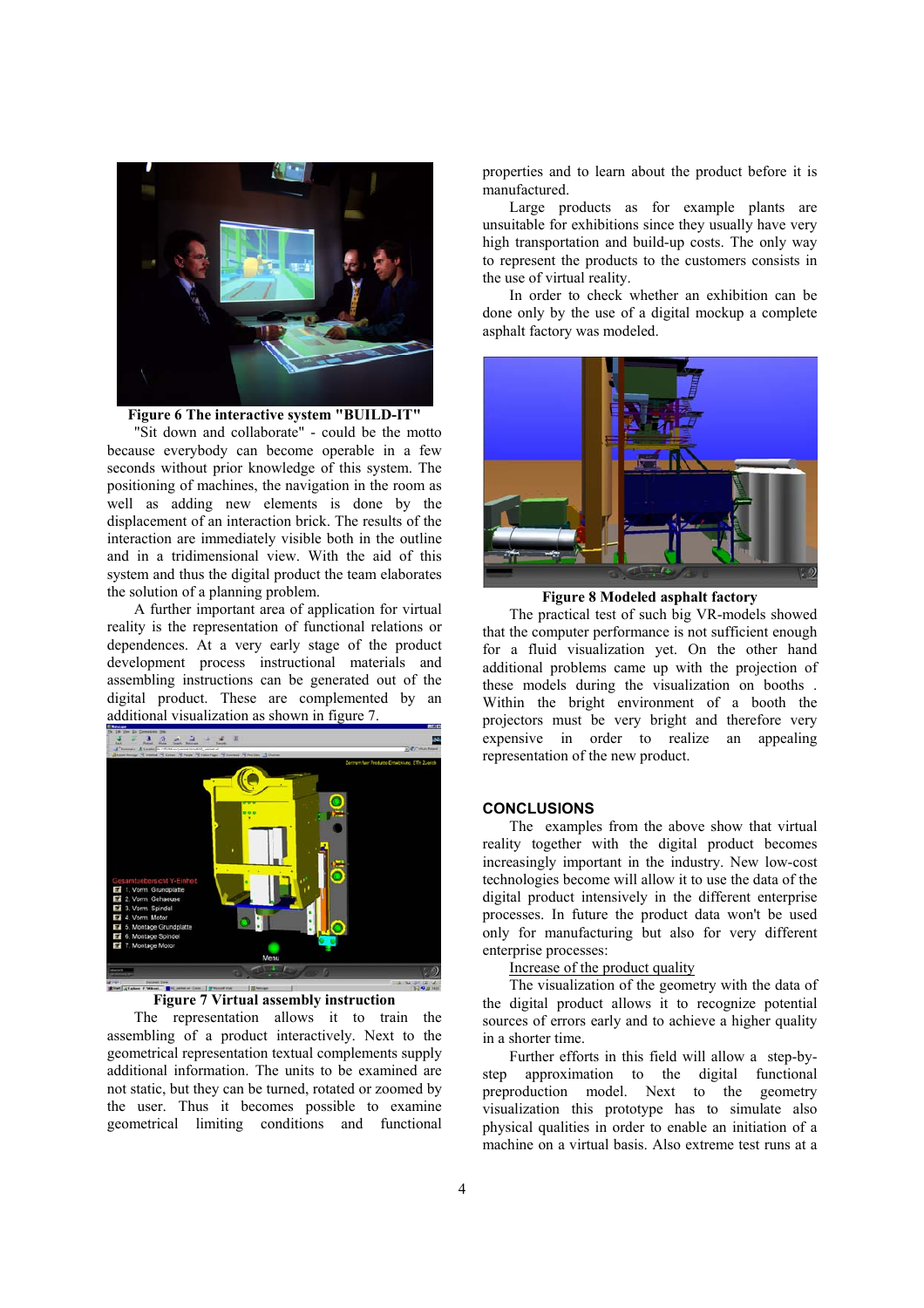



"Sit down and collaborate" - could be the motto because everybody can become operable in a few seconds without prior knowledge of this system. The positioning of machines, the navigation in the room as well as adding new elements is done by the displacement of an interaction brick. The results of the interaction are immediately visible both in the outline and in a tridimensional view. With the aid of this system and thus the digital product the team elaborates the solution of a planning problem.

A further important area of application for virtual reality is the representation of functional relations or dependences. At a very early stage of the product development process instructional materials and assembling instructions can be generated out of the digital product. These are complemented by an additional visualization as shown in figure 7.



### **Figure 7 Virtual assembly instruction**

The representation allows it to train the assembling of a product interactively. Next to the geometrical representation textual complements supply additional information. The units to be examined are not static, but they can be turned, rotated or zoomed by the user. Thus it becomes possible to examine geometrical limiting conditions and functional

properties and to learn about the product before it is manufactured.

Large products as for example plants are unsuitable for exhibitions since they usually have very high transportation and build-up costs. The only way to represent the products to the customers consists in the use of virtual reality.

In order to check whether an exhibition can be done only by the use of a digital mockup a complete asphalt factory was modeled.



**Figure 8 Modeled asphalt factory** 

The practical test of such big VR-models showed that the computer performance is not sufficient enough for a fluid visualization yet. On the other hand additional problems came up with the projection of these models during the visualization on booths . Within the bright environment of a booth the projectors must be very bright and therefore very expensive in order to realize an appealing representation of the new product.

### **CONCLUSIONS**

The examples from the above show that virtual reality together with the digital product becomes increasingly important in the industry. New low-cost technologies become will allow it to use the data of the digital product intensively in the different enterprise processes. In future the product data won't be used only for manufacturing but also for very different enterprise processes:

Increase of the product quality

The visualization of the geometry with the data of the digital product allows it to recognize potential sources of errors early and to achieve a higher quality in a shorter time.

Further efforts in this field will allow a step-bystep approximation to the digital functional preproduction model. Next to the geometry visualization this prototype has to simulate also physical qualities in order to enable an initiation of a machine on a virtual basis. Also extreme test runs at a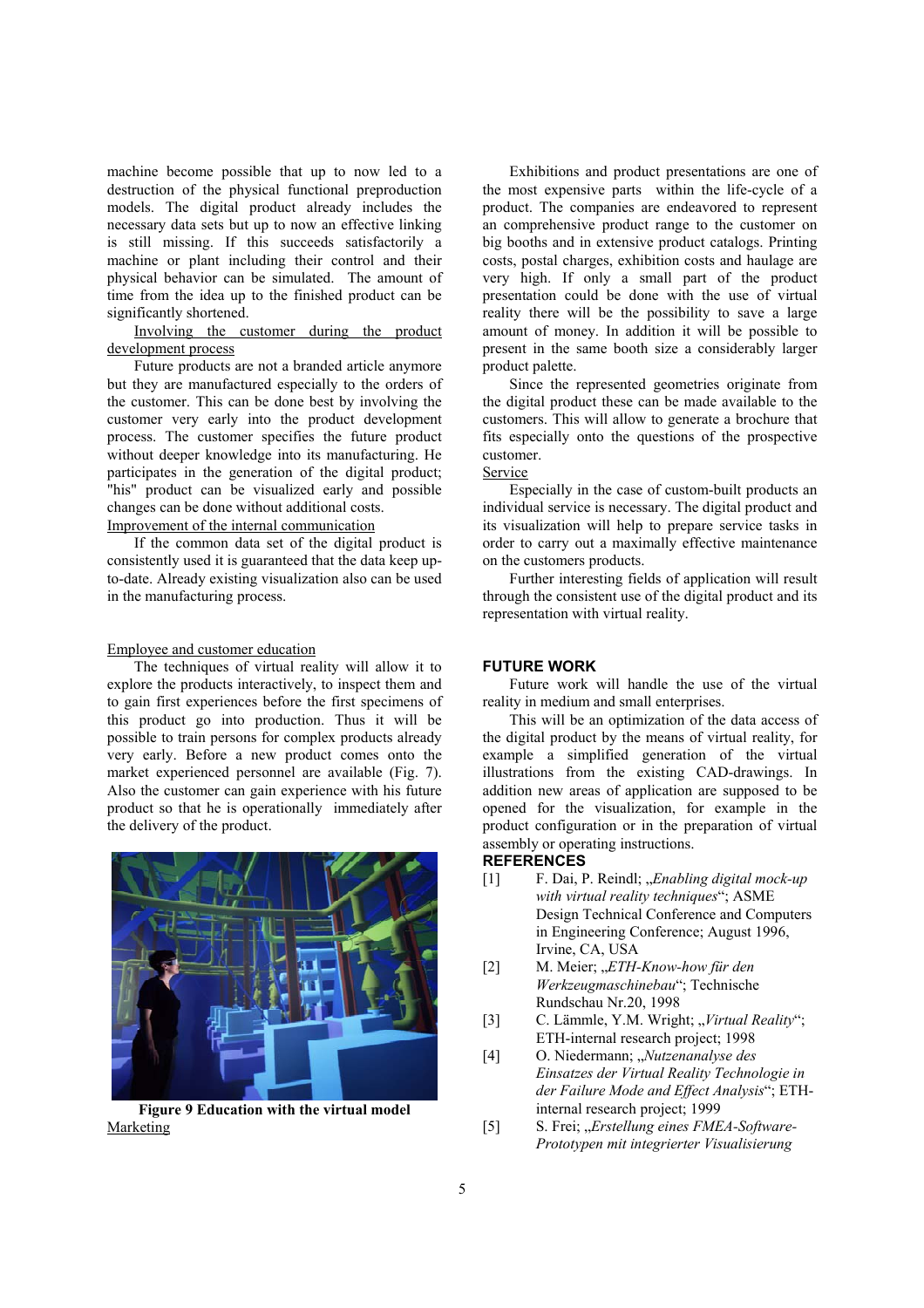machine become possible that up to now led to a destruction of the physical functional preproduction models. The digital product already includes the necessary data sets but up to now an effective linking is still missing. If this succeeds satisfactorily a machine or plant including their control and their physical behavior can be simulated. The amount of time from the idea up to the finished product can be significantly shortened.

Involving the customer during the product development process

Future products are not a branded article anymore but they are manufactured especially to the orders of the customer. This can be done best by involving the customer very early into the product development process. The customer specifies the future product without deeper knowledge into its manufacturing. He participates in the generation of the digital product; "his" product can be visualized early and possible changes can be done without additional costs. Improvement of the internal communication

If the common data set of the digital product is consistently used it is guaranteed that the data keep upto-date. Already existing visualization also can be used in the manufacturing process.

#### Employee and customer education

The techniques of virtual reality will allow it to explore the products interactively, to inspect them and to gain first experiences before the first specimens of this product go into production. Thus it will be possible to train persons for complex products already very early. Before a new product comes onto the market experienced personnel are available (Fig. 7). Also the customer can gain experience with his future product so that he is operationally immediately after the delivery of the product.



**Figure 9 Education with the virtual model**  Marketing

Exhibitions and product presentations are one of the most expensive parts within the life-cycle of a product. The companies are endeavored to represent an comprehensive product range to the customer on big booths and in extensive product catalogs. Printing costs, postal charges, exhibition costs and haulage are very high. If only a small part of the product presentation could be done with the use of virtual reality there will be the possibility to save a large amount of money. In addition it will be possible to present in the same booth size a considerably larger product palette.

Since the represented geometries originate from the digital product these can be made available to the customers. This will allow to generate a brochure that fits especially onto the questions of the prospective customer.

#### Service

Especially in the case of custom-built products an individual service is necessary. The digital product and its visualization will help to prepare service tasks in order to carry out a maximally effective maintenance on the customers products.

Further interesting fields of application will result through the consistent use of the digital product and its representation with virtual reality.

#### **FUTURE WORK**

Future work will handle the use of the virtual reality in medium and small enterprises.

This will be an optimization of the data access of the digital product by the means of virtual reality, for example a simplified generation of the virtual illustrations from the existing CAD-drawings. In addition new areas of application are supposed to be opened for the visualization, for example in the product configuration or in the preparation of virtual assembly or operating instructions.

## **REFERENCES**

- [1] F. Dai, P. Reindl; *"Enabling digital mock-up with virtual reality techniques*"; ASME Design Technical Conference and Computers in Engineering Conference; August 1996, Irvine, CA, USA
- [2] M. Meier; "*ETH-Know-how für den Werkzeugmaschinebau*"; Technische Rundschau Nr.20, 1998
- [3] C. Lämmle, Y.M. Wright; *..Virtual Reality*"; ETH-internal research project; 1998
- [4] O. Niedermann; "Nutzenanalyse des *Einsatzes der Virtual Reality Technologie in der Failure Mode and Effect Analysis*"; ETHinternal research project; 1999
- [5] S. Frei; "*Erstellung eines FMEA-Software-Prototypen mit integrierter Visualisierung*